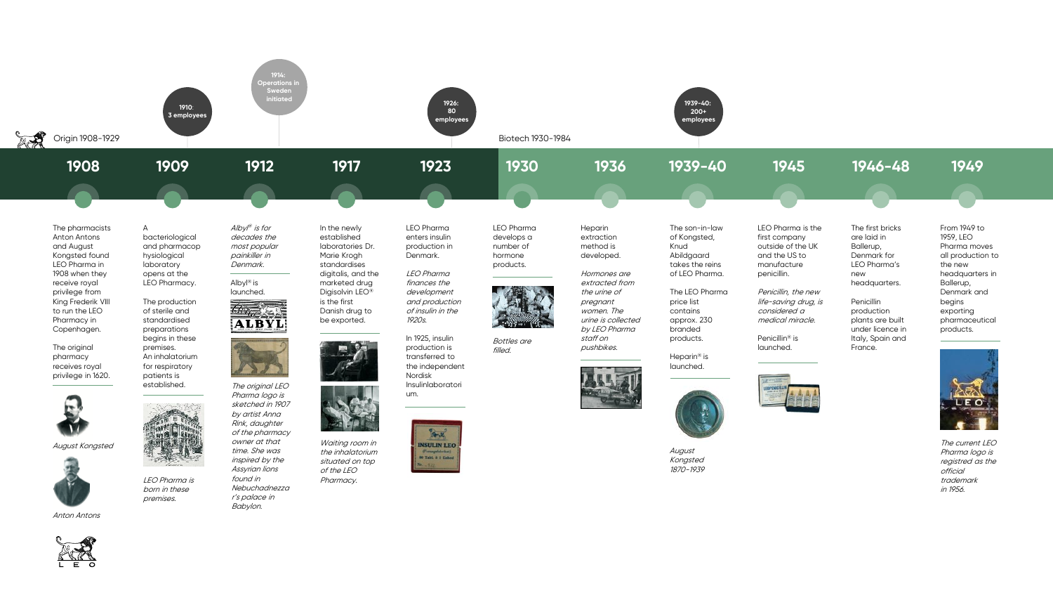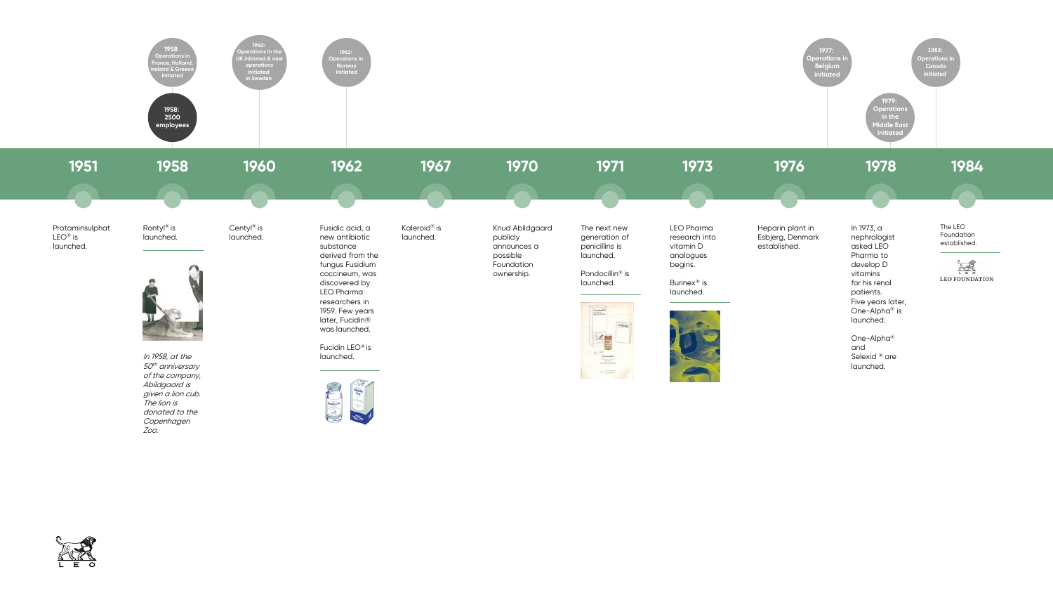

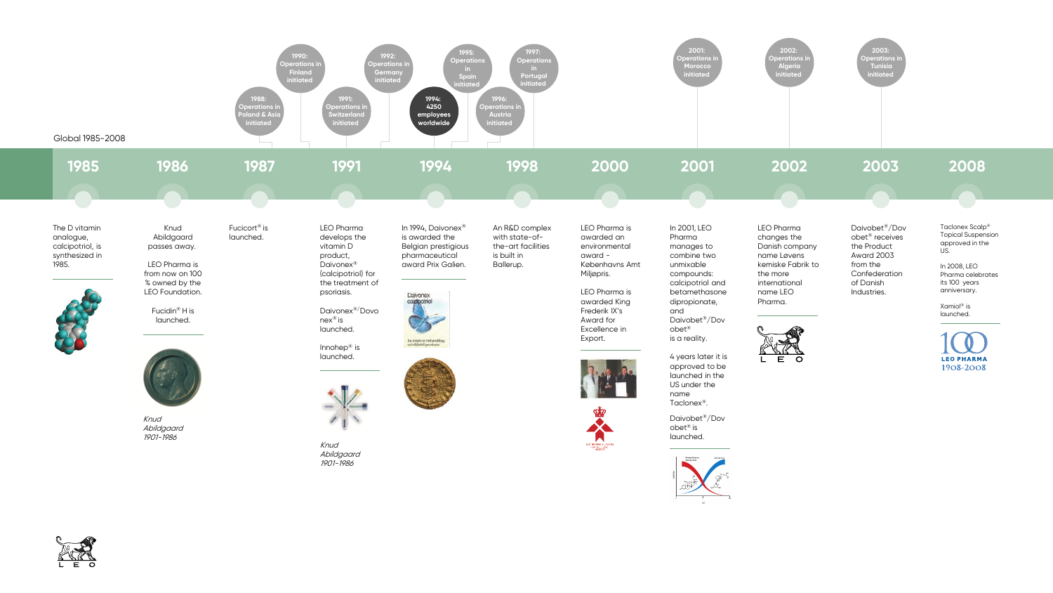